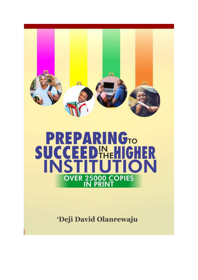

# **PREPARINGTO SUCCEED THE HIGHER INSTITUT TION OVER 25000 COPIES**

'Deji David Olanrewaju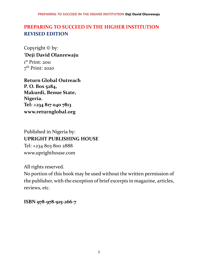# **PREPARING TO SUCCEED IN THE HIGHER INSTITUTION REVISED EDITION**

Copyright © by: **'Deji David Olanrewaju** 1<sup>st</sup> Print: 2011 7<sup>th</sup> Print: 2020

**Return Global Outreach P. O. Box 5284, Makurdi, Benue State, Nigeria. Tel: +234 817 040 7813 www.returnglobal.org**

Published in Nigeria by: **UPRIGHT PUBLISHING HOUSE** Tel: +234 803 800 2888 www.uprighthouse.com

All rights reserved.

No portion of this book may be used without the written permission of the publisher, with the exception of brief excerpts in magazine, articles, reviews, etc.

**ISBN 978-978-915-266-7**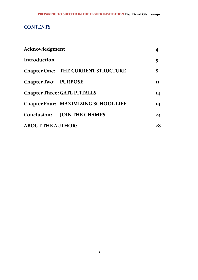#### **CONTENTS**

| Acknowledgment                      |                                             |    |
|-------------------------------------|---------------------------------------------|----|
| Introduction                        |                                             | 5  |
|                                     | <b>Chapter One: THE CURRENT STRUCTURE</b>   | 8  |
| <b>Chapter Two: PURPOSE</b>         |                                             | 11 |
| <b>Chapter Three: GATE PITFALLS</b> |                                             | 14 |
|                                     | <b>Chapter Four: MAXIMIZING SCHOOL LIFE</b> | 19 |
|                                     | <b>Conclusion: JOIN THE CHAMPS</b>          | 24 |
| <b>ABOUT THE AUTHOR:</b>            |                                             | 28 |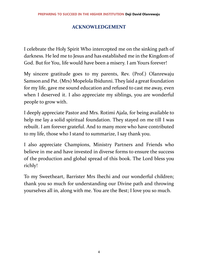#### **ACKNOWLEDGEMENT**

I celebrate the Holy Spirit Who intercepted me on the sinking path of darkness. He led me to Jesus and has established me in the Kingdom of God. But for You, life would have been a misery. I am Yours forever!

My sincere gratitude goes to my parents, Rev. (Prof.) Olanrewaju Samson and Pst. (Mrs) Mopelola Ibidunni. They laid a great foundation for my life, gave me sound education and refused to cast me away, even when I deserved it. I also appreciate my siblings, you are wonderful people to grow with.

I deeply appreciate Pastor and Mrs. Rotimi Ajala, for being available to help me lay a solid spiritual foundation. They stayed on me till I was rebuilt. I am forever grateful. And to many more who have contributed to my life, those who I stand to summarize, I say thank you.

I also appreciate Champions, Ministry Partners and Friends who believe in me and have invested in diverse forms to ensure the success of the production and global spread of this book. The Lord bless you richly!

To my Sweetheart, Barrister Mrs Ihechi and our wonderful children; thank you so much for understanding our Divine path and throwing yourselves all in, along with me. You are the Best; I love you so much.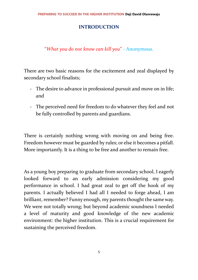#### **INTRODUCTION**

#### "*What you do not know can kill you*" - Anonymous.

There are two basic reasons for the excitement and zeal displayed by secondary school finalists;

- The desire to advance in professional pursuit and move on in life; and
- The perceived need for freedom to do whatever they feel and not be fully controlled by parents and guardians.

There is certainly nothing wrong with moving on and being free. Freedom however must be guarded by rules; or else it becomes a pitfall. More importantly. It is a thing to be free and another to remain free.

As a young boy preparing to graduate from secondary school, I eagerly looked forward to an early admission considering my good performance in school. I had great zeal to get off the hook of my parents. I actually believed I had all I needed to forge ahead, I am brilliant, remember? Funny enough, my parents thought the same way. We were not totally wrong; but beyond academic soundness I needed a level of maturity and good knowledge of the new academic environment: the higher institution. This is a crucial requirement for sustaining the perceived freedom.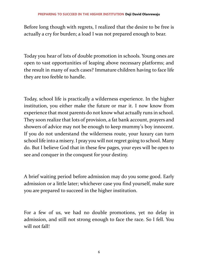Before long though with regrets, I realized that the desire to be free is actually a cry for burden; a load I was not prepared enough to bear.

Today you hear of lots of double promotion in schools. Young ones are open to vast opportunities of leaping above necessary platforms; and the result in many of such cases? Immature children having to face life they are too feeble to handle.

Today, school life is practically a wilderness experience. In the higher institution, you either make the future or mar it. I now know from experience that most parents do not know what actually runs in school. They soon realize that lots of provision, a fat bank account, prayers and showers of advice may not be enough to keep mummy's boy innocent. If you do not understand the wilderness route, your luxury can turn school life into a misery. I pray you will not regret going to school. Many do. But I believe God that in these few pages, your eyes will be open to see and conquer in the conquest for your destiny.

A brief waiting period before admission may do you some good. Early admission or a little later; whichever case you find yourself, make sure you are prepared to succeed in the higher institution.

For a few of us, we had no double promotions, yet no delay in admission, and still not strong enough to face the race. So I fell. You will not fall!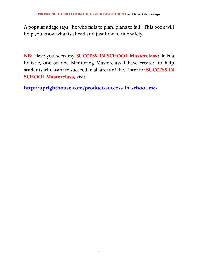A popular adage says; 'he who fails to plan, plans to fail'. This book will help you know what is ahead and just how to ride safely.

**NB**: Have you seen my **SUCCESS IN SCHOOL Masterclass**? It is a holistic, one-on-one Mentoring Masterclass I have created to help students who want to succeed in all areas of life. Enter for **SUCCESS IN SCHOOL Masterclass,** visit;

**<http://uprighthouse.com/product/success-in-school-mc/>**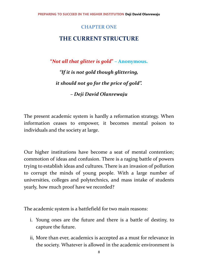# **CHAPTER ONE THE CURRENT STRUCTURE**

**"***Not all that glitter is gold***" – Anonymous.** *"If it is not gold though glittering, it should not go for the price of gold". – Deji David Olanrewaju*

The present academic system is hardly a reformation strategy. When information ceases to empower, it becomes mental poison to individuals and the society at large.

Our higher institutions have become a seat of mental contention; commotion of ideas and confusion. There is a raging battle of powers trying to establish ideas and cultures. There is an invasion of pollution to corrupt the minds of young people. With a large number of universities, colleges and polytechnics, and mass intake of students yearly, how much proof have we recorded?

The academic system is a battlefield for two main reasons:

- i. Young ones are the future and there is a battle of destiny, to capture the future.
- ii, More than ever, academics is accepted as a must for relevance in the society. Whatever is allowed in the academic environment is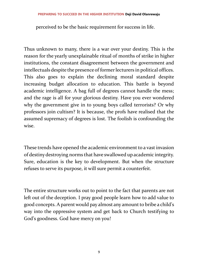perceived to be the basic requirement for success in life.

Thus unknown to many, there is a war over your destiny. This is the reason for the yearly unexplainable ritual of months of strike in higher institutions, the constant disagreement between the government and intellectuals despite the presence of former lecturers in political offices. This also goes to explain the declining moral standard despite increasing budget allocation to education. This battle is beyond academic intelligence. A bag full of degrees cannot handle the mess; and the rage is all for your glorious destiny. Have you ever wondered why the government give in to young boys called terrorists? Or why professors join cultism? It is because, the profs have realised that the assumed supremacy of degrees is lost. The foolish is confounding the wise.

These trends have opened the academic environment to a vast invasion of destiny destroying norms that have swallowed up academic integrity. Sure, education is the key to development. But when the structure refuses to serve its purpose, it will sure permit a counterfeit.

The entire structure works out to point to the fact that parents are not left out of the deception. I pray good people learn how to add value to good concepts. A parent would pay almost any amount to bribe a child's way into the oppressive system and get back to Church testifying to God's goodness. God have mercy on you!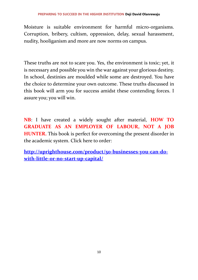Moisture is suitable environment for harmful micro-organisms. Corruption, bribery, cultism, oppression, delay, sexual harassment, nudity, hooliganism and more are now norms on campus.

These truths are not to scare you. Yes, the environment is toxic; yet, it is necessary and possible you win the war against your glorious destiny. In school, destinies are moulded while some are destroyed. You have the choice to determine your own outcome. These truths discussed in this book will arm you for success amidst these contending forces. I assure you; you will win.

**NB**: I have created a widely sought after material, **HOW TO GRADUATE AS AN EMPLOYER OF LABOUR, NOT A JOB HUNTER.** This book is perfect for overcoming the present disorder in the academic system. Click here to order:

**[http://uprighthouse.com/product/50-businesses-you-can-do](http://uprighthouse.com/product/50-businesses-you-can-do-with-little-or-no-start-up-capital/)[with-little-or-no-start-up-capital/](http://uprighthouse.com/product/50-businesses-you-can-do-with-little-or-no-start-up-capital/)**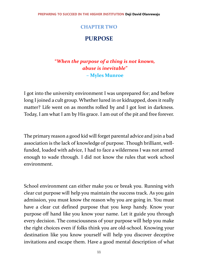#### **CHAPTER TWO**

#### **PURPOSE**

# **"***When the purpose of a thing is not known, abuse is inevitable***" – Myles Munroe**

I got into the university environment I was unprepared for; and before long I joined a cult group. Whether lured in or kidnapped, does it really matter? Life went on as months rolled by and I got lost in darkness. Today, I am what I am by His grace. I am out of the pit and free forever.

The primary reason a good kid will forget parental advice and join a bad association is the lack of knowledge of purpose. Though brilliant, wellfunded, loaded with advice, I had to face a wilderness I was not armed enough to wade through. I did not know the rules that work school environment.

School environment can either make you or break you. Running with clear cut purpose will help you maintain the success track. As you gain admission, you must know the reason why you are going in. You must have a clear cut defined purpose that you keep handy. Know your purpose off hand like you know your name. Let it guide you through every decision. The consciousness of your purpose will help you make the right choices even if folks think you are old-school. Knowing your destination like you know yourself will help you discover deceptive invitations and escape them. Have a good mental description of what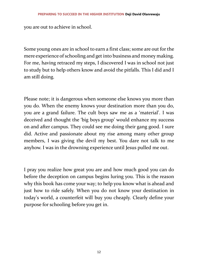you are out to achieve in school.

Some young ones are in school to earn a first class; some are out for the mere experience of schooling and get into business and money making. For me, having retraced my steps, I discovered I was in school not just to study but to help others know and avoid the pitfalls. This I did and I am still doing.

Please note; it is dangerous when someone else knows you more than you do. When the enemy knows your destination more than you do, you are a grand failure. The cult boys saw me as a 'material'. I was deceived and thought the 'big boys group' would enhance my success on and after campus. They could see me doing their gang good. I sure did. Active and passionate about my rise among many other group members, I was giving the devil my best. You dare not talk to me anyhow. I was in the drowning experience until Jesus pulled me out.

I pray you realize how great you are and how much good you can do before the deception on campus begins luring you. This is the reason why this book has come your way; to help you know what is ahead and just how to ride safely. When you do not know your destination in today's world, a counterfeit will buy you cheaply. Clearly define your purpose for schooling before you get in.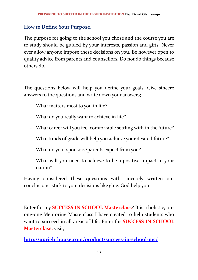### **How to Define Your Purpose.**

The purpose for going to the school you chose and the course you are to study should be guided by your interests, passion and gifts. Never ever allow anyone impose these decisions on you. Be however open to quality advice from parents and counsellors. Do not do things because others do.

The questions below will help you define your goals. Give sincere answers to the questions and write down your answers;

- What matters most to you in life?
- What do you really want to achieve in life?
- What career will you feel comfortable settling with in the future?
- What kinds of grade will help you achieve your desired future?
- What do your sponsors/parents expect from you?
- What will you need to achieve to be a positive impact to your nation?

Having considered these questions with sincerely written out conclusions, stick to your decisions like glue. God help you!

Enter for my **SUCCESS IN SCHOOL Masterclass**? It is a holistic, onone-one Mentoring Masterclass I have created to help students who want to succeed in all areas of life. Enter for **SUCCESS IN SCHOOL Masterclass,** visit;

**<http://uprighthouse.com/product/success-in-school-mc/>**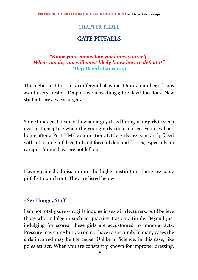#### **CHAPTER THREE**

# **GATE PITFALLS**

#### *"Know your enemy like you know yourself. When you do, you will most likely know how to defeat it"* **- 'Deji David Olanrewaju**

The higher institution is a different ball game. Quite a number of traps await every fresher. People love new things; the devil too does. New students are always targets.

Some time ago, I heard of how some guys tried luring some girls to sleep over at their place when the young girls could not get vehicles back home after a Post UME examination. Little girls are constantly faced with all manner of deceitful and forceful demand for sex, especially on campus. Young boys are not left out.

Having gained admission into the higher institution, there are some pitfalls to watch out. They are listed below;

#### **- Sex Hungry Staff**

I am not totally sure why girls indulge in sex with lecturers, but I believe those who indulge in such act practise it as an attitude. Beyond just indulging for scores; these girls are accustomed to immoral acts. Pressure may come but you do not have to succumb. In many cases the girls involved may be the cause. Unlike in Science, in this case, like poles attract. When you are constantly known for improper dressing,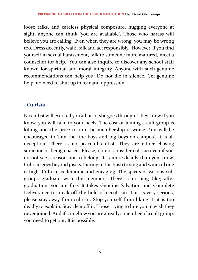loose talks, and careless physical composure, hugging everyone at sight, anyone can think 'you are available'. Those who harass will believe you are calling. Even when they are wrong, you may be wrong too. Dress decently, walk, talk and act responsibly. However, if you find yourself in sexual harassment, talk to someone more matured, meet a counsellor for help. You can also inquire to discover any school staff known for spiritual and moral integrity. Anyone with such genuine recommendations can help you. Do not die in silence. Get genuine help, no need to shut up in fear and oppression.

### **- Cultists**

No cultist will ever tell you all he or she goes through. They know if you know, you will take to your heels. The cost of joining a cult group is killing and the price to run the membership is worse. You will be encouraged to 'join the fine boys and big boys on campus'. It is all deception. There is no peaceful cultist. They are either chasing someone or being chased. Please, do not consider cultism even if you do not see a reason not to belong. It is more deadly than you know. Cultism goes beyond just gathering in the bush to sing and wine till one is high. Cultism is demonic and encaging. The spirits of various cult groups graduate with the members, there is nothing like; after graduation, you are free. It takes Genuine Salvation and Complete Deliverance to break off the hold of occultism. This is very serious, please stay away from cultism. Stop yourself from liking it, it is too deadly to explain. Stay clear off it. Those trying to lure you in wish they never joined. And if somehow you are already a member of a cult group, you need to get out. It is possible.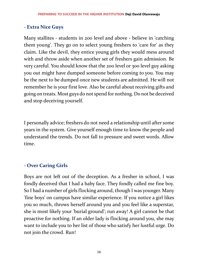#### **- Extra Nice Guys**

Many stallites - students in 200 level and above - believe in 'catching them young'. They go on to select young freshers to 'care for' as they claim. Like the devil, they entice young girls they would mess around with and throw aside when another set of freshers gain admission. Be very careful. You should know that the 200 level or 300 level guy asking you out might have dumped someone before coming to you. You may be the next to be dumped once new students are admitted. He will not remember he is your first love. Also be careful about receiving gifts and going on treats. Most guys do not spend for nothing. Do not be deceived and stop deceiving yourself.

I personally advice; freshers do not need a relationship until after some years in the system. Give yourself enough time to know the people and understand the trends. Do not fall to pressure and sweet words. Allow time.

#### **- Over Caring Girls**

Boys are not left out of the deception. As a fresher in school, I was fondly deceived that I had a baby face. They fondly called me fine boy. So I had a number of girls flocking around, though I was younger. Many 'fine boys' on campus have similar experience. If you notice a girl likes you so much, throws herself around you and you feel like a superstar, she is most likely your 'burial ground'; run away! A girl cannot be that proactive for nothing. If an older lady is flocking around you, she may want to include you to her list of those who satisfy her lustful urge. Do not join the crowd. Run!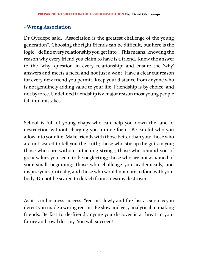#### **- Wrong Association**

Dr Oyedepo said, "Association is the greatest challenge of the young generation". Choosing the right friends can be difficult, but here is the logic; "define every relationship you get into". This means, knowing the reason why every friend you claim to have is a friend. Know the answer to the 'why' question in every relationship; and ensure the 'why' answers and meets a need and not just a want. Have a clear cut reason for every new friend you permit. Keep your distance from anyone who is not genuinely adding value to your life. Friendship is by choice, and not by force. Undefined friendship is a major reason most young people fall into mistakes.

School is full of young chaps who can help you down the lane of destruction without charging you a dime for it. Be careful who you allow into your life. Make friends with those better than you; those who are not scared to tell you the truth; those who stir up the gifts in you; those who care without attaching strings; those who remind you of great values you seem to be neglecting; those who are not ashamed of your small beginning; those who challenge you academically, and inspire you spiritually, and those who would not dare to fond with your body. Do not be scared to detach from a destiny destroyer.

As it is in business success, "recruit slowly and fire fast as soon as you detect you made a wrong recruit. Be slow and very analytical in making friends. Be fast to de-friend anyone you discover is a threat to your future and royal destiny. You will succeed!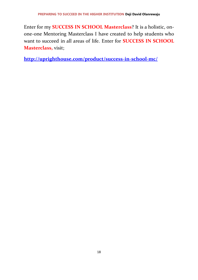Enter for my **SUCCESS IN SCHOOL Masterclass**? It is a holistic, onone-one Mentoring Masterclass I have created to help students who want to succeed in all areas of life. Enter for **SUCCESS IN SCHOOL Masterclass,** visit;

**<http://uprighthouse.com/product/success-in-school-mc/>**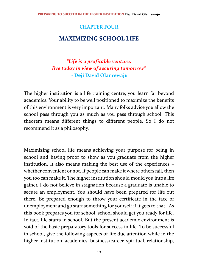#### **CHAPTER FOUR**

#### **MAXIMIZING SCHOOL LIFE**

# *"Life is a profitable venture, live today in view of securing tomorrow" -* **Deji David Olanrewaju**

The higher institution is a life training centre; you learn far beyond academics. Your ability to be well positioned to maximize the benefits of this environment is very important. Many folks advice you allow the school pass through you as much as you pass through school. This theorem means different things to different people. So I do not recommend it as a philosophy.

Maximizing school life means achieving your purpose for being in school and having proof to show as you graduate from the higher institution. It also means making the best use of the experiences – whether convenient or not. If people can make it where others fail, then you too can make it. The higher institution should mould you into a life gainer. I do not believe in stagnation because a graduate is unable to secure an employment. You should have been prepared for life out there. Be prepared enough to throw your certificate in the face of unemployment and go start something for yourself if it gets to that. As this book prepares you for school, school should get you ready for life. In fact, life starts in school. But the present academic environment is void of the basic preparatory tools for success in life. To be successful in school, give the following aspects of life due attention while in the higher institution: academics, business/career, spiritual, relationship,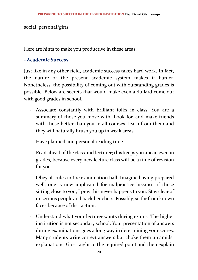social, personal/gifts.

Here are hints to make you productive in these areas.

#### **- Academic Success**

Just like in any other field, academic success takes hard work. In fact, the nature of the present academic system makes it harder. Nonetheless, the possibility of coming out with outstanding grades is possible. Below are secrets that would make even a dullard come out with good grades in school.

- Associate constantly with brilliant folks in class. You are a summary of those you move with. Look for, and make friends with those better than you in all courses, learn from them and they will naturally brush you up in weak areas.
- Have planned and personal reading time.
- Read ahead of the class and lecturer; this keeps you ahead even in grades, because every new lecture class will be a time of revision for you.
- Obey all rules in the examination hall. Imagine having prepared well, one is now implicated for malpractice because of those sitting close to you; I pray this never happens to you. Stay clear of unserious people and back benchers. Possibly, sit far from known faces because of distraction.
- Understand what your lecturer wants during exams. The higher institution is not secondary school. Your presentation of answers during examinations goes a long way in determining your scores. Many students write correct answers but choke them up amidst explanations. Go straight to the required point and then explain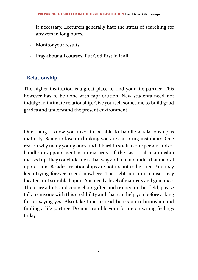if necessary. Lecturers generally hate the stress of searching for answers in long notes.

- Monitor your results.
- Pray about all courses. Put God first in it all.

# **- Relationship**

The higher institution is a great place to find your life partner. This however has to be done with rapt caution. New students need not indulge in intimate relationship. Give yourself sometime to build good grades and understand the present environment.

One thing I know you need to be able to handle a relationship is maturity. Being in love or thinking you are can bring instability. One reason why many young ones find it hard to stick to one person and/or handle disappointment is immaturity. If the last trial-relationship messed up, they conclude life is that way and remain under that mental oppression. Besides, relationships are not meant to be tried. You may keep trying forever to end nowhere. The right person is consciously located, not stumbled upon. You need a level of maturity and guidance. There are adults and counsellors gifted and trained in this field, please talk to anyone with this credibility and that can help you before asking for, or saying yes. Also take time to read books on relationship and finding a life partner. Do not crumble your future on wrong feelings today.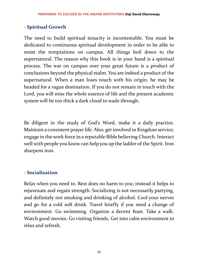### **- Spiritual Growth**

The need to build spiritual tenacity is incontestable. You must be dedicated to continuous spiritual development in order to be able to resist the temptations on campus. All things boil down to the supernatural. The reason why this book is in your hand is a spiritual process. The war on campus over your great future is a product of conclusions beyond the physical realm. You are indeed a product of the supernatural. When a man loses touch with his origin, he may be headed for a vague destination. If you do not remain in touch with the Lord, you will miss the whole essence of life and the present academic system will be too thick a dark cloud to wade through.

Be diligent in the study of God's Word, make it a daily practice. Maintain a consistent prayer life. Also, get involved in Kingdom service; engage in the work force in a reputable Bible believing Church. Interact well with people you know can help you up the ladder of the Spirit. Iron sharpens iron.

#### **- Socialization**

Relax when you need to. Rest does no harm to you; instead it helps to rejuvenate and regain strength. Socializing is not necessarily partying, and definitely not smoking and drinking of alcohol. Cool your nerves and go for a cold soft drink. Travel briefly if you need a change of environment. Go swimming. Organize a decent feast. Take a walk. Watch good movies. Go visiting friends. Get into calm environment to relax and refresh.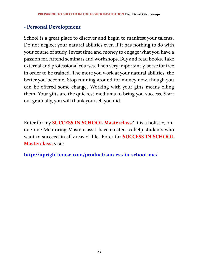#### **- Personal Development**

School is a great place to discover and begin to manifest your talents. Do not neglect your natural abilities even if it has nothing to do with your course of study. Invest time and money to engage what you have a passion for. Attend seminars and workshops. Buy and read books. Take external and professional courses. Then very importantly, serve for free in order to be trained. The more you work at your natural abilities, the better you become. Stop running around for money now, though you can be offered some change. Working with your gifts means oiling them. Your gifts are the quickest mediums to bring you success. Start out gradually, you will thank yourself you did.

Enter for my **SUCCESS IN SCHOOL Masterclass**? It is a holistic, onone-one Mentoring Masterclass I have created to help students who want to succeed in all areas of life. Enter for **SUCCESS IN SCHOOL Masterclass,** visit;

**<http://uprighthouse.com/product/success-in-school-mc/>**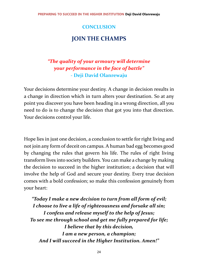#### **CONCLUSION**

# **JOIN THE CHAMPS**

# *"The quality of your armoury will determine your performance in the face of battle"* **- Deji David Olanrewaju**

Your decisions determine your destiny. A change in decision results in a change in direction which in turn alters your destination. So at any point you discover you have been heading in a wrong direction, all you need to do is to change the decision that got you into that direction. Your decisions control your life.

Hope lies in just one decision, a conclusion to settle for right living and not join any form of deceit on campus. A human bad egg becomes good by changing the rules that govern his life. The rules of right living transform lives into society builders. You can make a change by making the decision to succeed in the higher institution; a decision that will involve the help of God and secure your destiny. Every true decision comes with a bold confession; so make this confession genuinely from your heart:

*"Today I make a new decision to turn from all form of evil; I choose to live a life of righteousness and forsake all sin; I confess and release myself to the help of Jesus; To see me through school and get me fully prepared for life; I believe that by this decision, I am a new person, a champion; And I will succeed in the Higher Institution. Amen!"*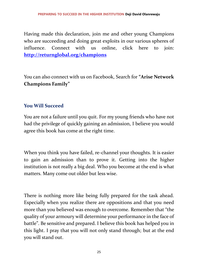Having made this declaration, join me and other young Champions who are succeeding and doing great exploits in our various spheres of influence. Connect with us online, click here to join: **[http://returnglobal.org/c](http://returnglobal.org/)hampions**

You can also connect with us on Facebook, Search for **"Arise Network Champions Family"**

#### **You Will Succeed**

You are not a failure until you quit. For my young friends who have not had the privilege of quickly gaining an admission, I believe you would agree this book has come at the right time.

When you think you have failed, re-channel your thoughts. It is easier to gain an admission than to prove it. Getting into the higher institution is not really a big deal. Who you become at the end is what matters. Many come out older but less wise.

There is nothing more like being fully prepared for the task ahead. Especially when you realize there are oppositions and that you need more than you believed was enough to overcome. Remember that "the quality of your armoury will determine your performance in the face of battle". Be sensitive and prepared. I believe this book has helped you in this light. I pray that you will not only stand through; but at the end you will stand out.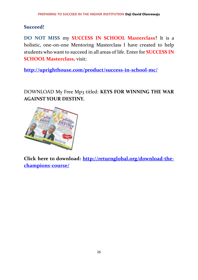#### **Succeed!**

**DO NOT MISS** my **SUCCESS IN SCHOOL Masterclass**? It is a holistic, one-on-one Mentoring Masterclass I have created to help students who want to succeed in all areas of life. Enter for **SUCCESS IN SCHOOL Masterclass,** visit;

**<http://uprighthouse.com/product/success-in-school-mc/>**

DOWNLOAD My Free Mp3 titled: **KEYS FOR WINNING THE WAR AGAINST YOUR DESTINY.**



**Click here to download: [http://returnglobal.org/download-the](http://returnglobal.org/download-the-champions-course/)[champions-course/](http://returnglobal.org/download-the-champions-course/)**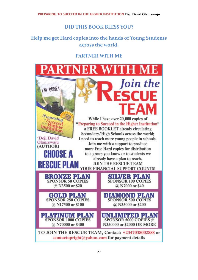#### **DID THIS BOOK BLESS YOU?**

### **Help me get Hard copies into the hands of Young Students across the world.**

#### **PARTNER WITH ME**

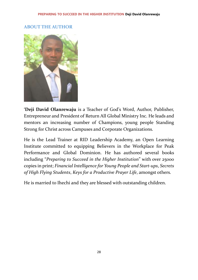#### **ABOUT THE AUTHOR**



**'Deji David Olanrewaju** is a Teacher of God's Word, Author, Publisher, Entrepreneur and President of Return All Global Ministry Inc. He leads and mentors an increasing number of Champions, young people Standing Strong for Christ across Campuses and Corporate Organizations.

He is the Lead Trainer at RID Leadership Academy, an Open Learning Institute committed to equipping Believers in the Workplace for Peak Performance and Global Dominion. He has authored several books including "*Preparing to Succeed in the Higher Institution*" with over 25000 copies in print; *Financial Intelligence for Young People and Start-ups*, *Secrets of High Flying Students*, *Keys for a Productive Prayer Life*, amongst others.

He is married to Ihechi and they are blessed with outstanding children.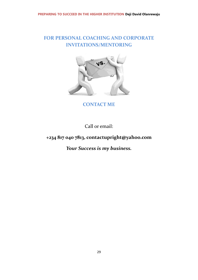### **FOR PERSONAL COACHING AND CORPORATE INVITATIONS/MENTORING**



**CONTACT ME**

Call or email:

#### **+234 817 040 7813, contactupright@yahoo.com**

*Your Success is my business.*